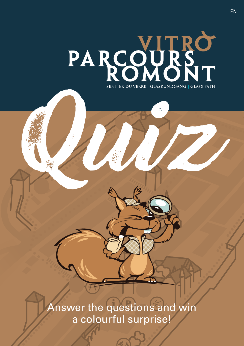

Answer the questions and win a colourful surprise!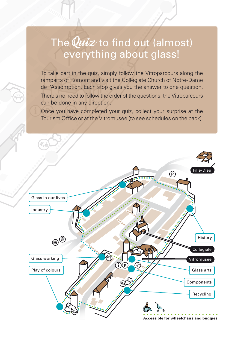### The  $\hat{Quiz}$  to find out (almost) everything about glass!

To take part in the quiz, simply follow the Vitroparcours along the ramparts of Romont and visit the Collegiate Church of Notre-Dame de l'Assomption. Each stop gives you the answer to one question. There's no need to follow the order of the questions, the Vitroparcours can be done in any direction.

Once you have completed your quiz, collect your surprise at the Tourism Office or at the Vitromusée (to see schedules on the back).

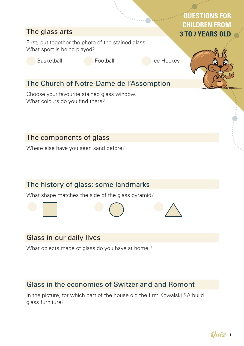## The glass arts First, put together the photo of the stained glass. What sport is being played? Basketball **Internal Institute Football** Ice Hockey The Church of Notre-Dame de l'Assomption Choose your favourite stained glass window. What colours do you find there? The components of glass Where else have you seen sand before? The history of glass: some landmarks What shape matches the side of the glass pyramid? **QUESTIONS FOR CHILDREN FROM 3 TO 7 YEARS OLD**

#### Glass in our daily lives

What objects made of glass do you have at home ?

#### Glass in the economies of Switzerland and Romont

In the picture, for which part of the house did the firm Kowalski SA build glass furniture?

Quiz <sup>1</sup>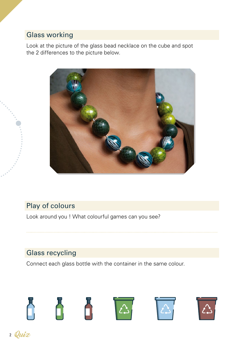#### Glass working

Look at the picture of the glass bead necklace on the cube and spot the 2 differences to the picture below.



#### Play of colours

Look around you ! What colourful games can you see?

#### Glass recycling

Connect each glass bottle with the container in the same colour.

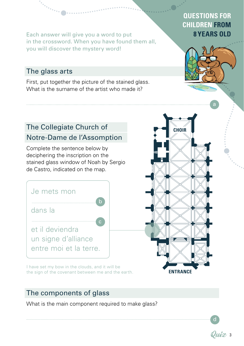Each answer will give you a word to put **8 YEARS OLD** in the crossword. When you have found them all, you will discover the mystery word!

#### The glass arts

First, put together the picture of the stained glass. What is the surname of the artist who made it?

# The Collegiate Church of

#### Notre-Dame de l'Assomption

Complete the sentence below by deciphering the inscription on the stained glass window of Noah by Sergio de Castro, indicated on the map.



I have set my bow in the clouds, and it will be the sign of the covenant between me and the earth.

#### The components of glass

What is the main component required to make glass?

## **QUESTIONS FOR CHILDREN FROM**





d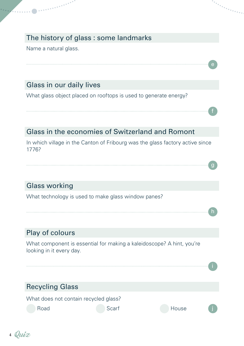#### The history of glass : some landmarks

Name a natural glass.

#### Glass in our daily lives

er en staan de gewone de gewone gewone de gewone de gewone de gewone de gewone de gewone de gewone de gewone d<br>Gewone de gewone de gewone de gewone de gewone de gewone de gewone de gewone de gewone de gewone de gewone de

What glass object placed on rooftops is used to generate energy?

#### Glass in the economies of Switzerland and Romont

In which village in the Canton of Fribourg was the glass factory active since 1776?

f

g

h

#### Glass working

What technology is used to make glass window panes?

#### Play of colours

What component is essential for making a kaleidoscope? A hint, you're looking in it every day.



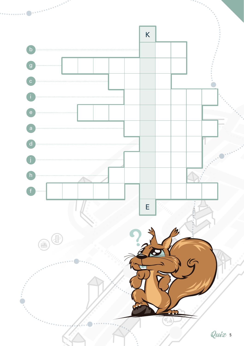